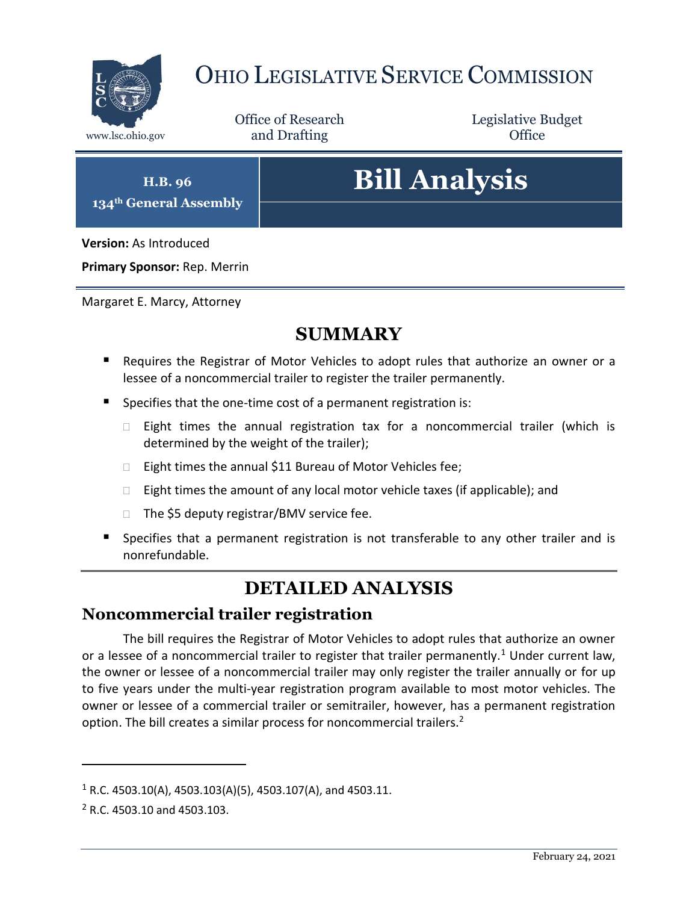

## OHIO LEGISLATIVE SERVICE COMMISSION

Office of Research www.lsc.ohio.gov **and Drafting Office** 

Legislative Budget

**H.B. 96 134th General Assembly**

# **Bill Analysis**

**Version:** As Introduced

**Primary Sponsor:** Rep. Merrin

Margaret E. Marcy, Attorney

### **SUMMARY**

- Requires the Registrar of Motor Vehicles to adopt rules that authorize an owner or a lessee of a noncommercial trailer to register the trailer permanently.
- Specifies that the one-time cost of a permanent registration is:
	- $\Box$  Eight times the annual registration tax for a noncommercial trailer (which is determined by the weight of the trailer);
	- □ Eight times the annual \$11 Bureau of Motor Vehicles fee;
	- $\Box$  Eight times the amount of any local motor vehicle taxes (if applicable); and
	- $\Box$  The \$5 deputy registrar/BMV service fee.
- **Specifies that a permanent registration is not transferable to any other trailer and is** nonrefundable.

## **DETAILED ANALYSIS**

#### **Noncommercial trailer registration**

The bill requires the Registrar of Motor Vehicles to adopt rules that authorize an owner or a lessee of a noncommercial trailer to register that trailer permanently.<sup>1</sup> Under current law, the owner or lessee of a noncommercial trailer may only register the trailer annually or for up to five years under the multi-year registration program available to most motor vehicles. The owner or lessee of a commercial trailer or semitrailer, however, has a permanent registration option. The bill creates a similar process for noncommercial trailers.<sup>2</sup>

 $\overline{a}$ 

 $1 R.C. 4503.10(A), 4503.103(A)(5), 4503.107(A),$  and  $4503.11.$ 

<sup>2</sup> R.C. 4503.10 and 4503.103.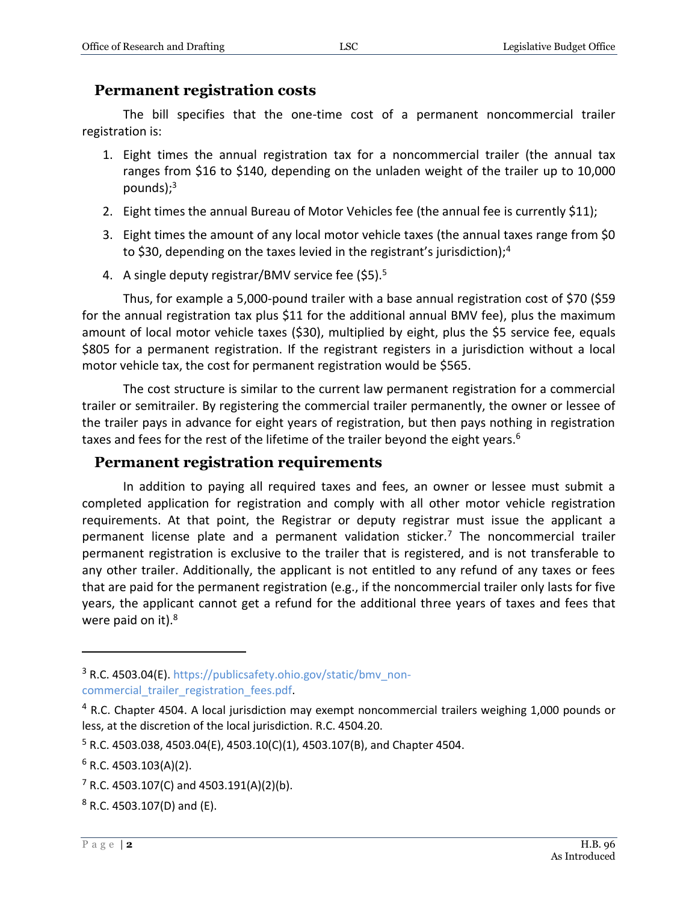#### **Permanent registration costs**

The bill specifies that the one-time cost of a permanent noncommercial trailer registration is:

- 1. Eight times the annual registration tax for a noncommercial trailer (the annual tax ranges from \$16 to \$140, depending on the unladen weight of the trailer up to 10,000 pounds); $3$
- 2. Eight times the annual Bureau of Motor Vehicles fee (the annual fee is currently \$11);
- 3. Eight times the amount of any local motor vehicle taxes (the annual taxes range from \$0 to \$30, depending on the taxes levied in the registrant's jurisdiction);<sup>4</sup>
- 4. A single deputy registrar/BMV service fee (\$5).<sup>5</sup>

Thus, for example a 5,000-pound trailer with a base annual registration cost of \$70 (\$59 for the annual registration tax plus \$11 for the additional annual BMV fee), plus the maximum amount of local motor vehicle taxes (\$30), multiplied by eight, plus the \$5 service fee, equals \$805 for a permanent registration. If the registrant registers in a jurisdiction without a local motor vehicle tax, the cost for permanent registration would be \$565.

The cost structure is similar to the current law permanent registration for a commercial trailer or semitrailer. By registering the commercial trailer permanently, the owner or lessee of the trailer pays in advance for eight years of registration, but then pays nothing in registration taxes and fees for the rest of the lifetime of the trailer beyond the eight years.<sup>6</sup>

#### **Permanent registration requirements**

In addition to paying all required taxes and fees, an owner or lessee must submit a completed application for registration and comply with all other motor vehicle registration requirements. At that point, the Registrar or deputy registrar must issue the applicant a permanent license plate and a permanent validation sticker.<sup>7</sup> The noncommercial trailer permanent registration is exclusive to the trailer that is registered, and is not transferable to any other trailer. Additionally, the applicant is not entitled to any refund of any taxes or fees that are paid for the permanent registration (e.g., if the noncommercial trailer only lasts for five years, the applicant cannot get a refund for the additional three years of taxes and fees that were paid on it).<sup>8</sup>

 $\overline{a}$ 

<sup>&</sup>lt;sup>3</sup> R.C. 4503.04(E). [https://publicsafety.ohio.gov/static/bmv\\_non](https://publicsafety.ohio.gov/static/bmv_non-commercial_trailer_registration_fees.pdf)[commercial\\_trailer\\_registration\\_fees.pdf.](https://publicsafety.ohio.gov/static/bmv_non-commercial_trailer_registration_fees.pdf)

<sup>&</sup>lt;sup>4</sup> R.C. Chapter 4504. A local jurisdiction may exempt noncommercial trailers weighing 1,000 pounds or less, at the discretion of the local jurisdiction. R.C. 4504.20.

 $5$  R.C. 4503.038, 4503.04(E), 4503.10(C)(1), 4503.107(B), and Chapter 4504.

 $6$  R.C. 4503.103(A)(2).

 $7$  R.C. 4503.107(C) and 4503.191(A)(2)(b).

 $8$  R.C. 4503.107(D) and (E).